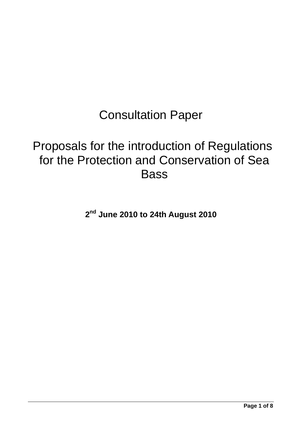# Consultation Paper

## Proposals for the introduction of Regulations for the Protection and Conservation of Sea **Bass**

**2nd June 2010 to 24th August 2010**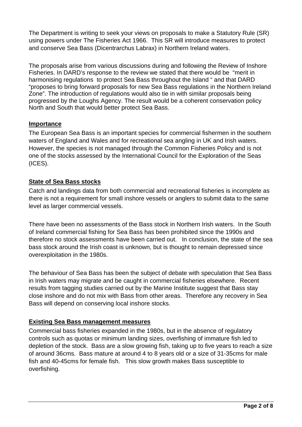The Department is writing to seek your views on proposals to make a Statutory Rule (SR) using powers under The Fisheries Act 1966. This SR will introduce measures to protect and conserve Sea Bass (Dicentrarchus Labrax) in Northern Ireland waters.

The proposals arise from various discussions during and following the Review of Inshore Fisheries. In DARD's response to the review we stated that there would be "merit in harmonising regulations to protect Sea Bass throughout the Island " and that DARD "proposes to bring forward proposals for new Sea Bass regulations in the Northern Ireland Zone". The introduction of regulations would also tie in with similar proposals being progressed by the Loughs Agency. The result would be a coherent conservation policy North and South that would better protect Sea Bass.

### **Importance**

The European Sea Bass is an important species for commercial fishermen in the southern waters of England and Wales and for recreational sea angling in UK and Irish waters. However, the species is not managed through the Common Fisheries Policy and is not one of the stocks assessed by the International Council for the Exploration of the Seas (ICES).

## **State of Sea Bass stocks**

Catch and landings data from both commercial and recreational fisheries is incomplete as there is not a requirement for small inshore vessels or anglers to submit data to the same level as larger commercial vessels.

There have been no assessments of the Bass stock in Northern Irish waters. In the South of Ireland commercial fishing for Sea Bass has been prohibited since the 1990s and therefore no stock assessments have been carried out. In conclusion, the state of the sea bass stock around the Irish coast is unknown, but is thought to remain depressed since overexploitation in the 1980s.

The behaviour of Sea Bass has been the subject of debate with speculation that Sea Bass in Irish waters may migrate and be caught in commercial fisheries elsewhere. Recent results from tagging studies carried out by the Marine Institute suggest that Bass stay close inshore and do not mix with Bass from other areas. Therefore any recovery in Sea Bass will depend on conserving local inshore stocks.

## **Existing Sea Bass management measures**

Commercial bass fisheries expanded in the 1980s, but in the absence of regulatory controls such as quotas or minimum landing sizes, overfishing of immature fish led to depletion of the stock. Bass are a slow growing fish, taking up to five years to reach a size of around 36cms. Bass mature at around 4 to 8 years old or a size of 31-35cms for male fish and 40-45cms for female fish. This slow growth makes Bass susceptible to overfishing.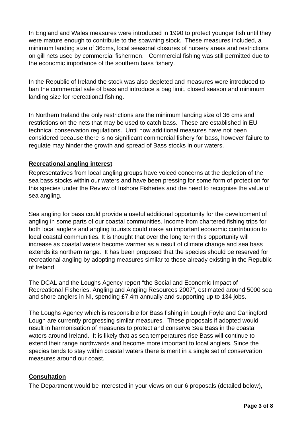In England and Wales measures were introduced in 1990 to protect younger fish until they were mature enough to contribute to the spawning stock. These measures included, a minimum landing size of 36cms, local seasonal closures of nursery areas and restrictions on gill nets used by commercial fishermen. Commercial fishing was still permitted due to the economic importance of the southern bass fishery.

In the Republic of Ireland the stock was also depleted and measures were introduced to ban the commercial sale of bass and introduce a bag limit, closed season and minimum landing size for recreational fishing.

In Northern Ireland the only restrictions are the minimum landing size of 36 cms and restrictions on the nets that may be used to catch bass. These are established in EU technical conservation regulations. Until now additional measures have not been considered because there is no significant commercial fishery for bass, however failure to regulate may hinder the growth and spread of Bass stocks in our waters.

## **Recreational angling interest**

Representatives from local angling groups have voiced concerns at the depletion of the sea bass stocks within our waters and have been pressing for some form of protection for this species under the Review of Inshore Fisheries and the need to recognise the value of sea angling.

Sea angling for bass could provide a useful additional opportunity for the development of angling in some parts of our coastal communities. Income from chartered fishing trips for both local anglers and angling tourists could make an important economic contribution to local coastal communities. It is thought that over the long term this opportunity will increase as coastal waters become warmer as a result of climate change and sea bass extends its northern range. It has been proposed that the species should be reserved for recreational angling by adopting measures similar to those already existing in the Republic of Ireland.

The DCAL and the Loughs Agency report "the Social and Economic Impact of Recreational Fisheries, Angling and Angling Resources 2007", estimated around 5000 sea and shore anglers in NI, spending £7.4m annually and supporting up to 134 jobs.

The Loughs Agency which is responsible for Bass fishing in Lough Foyle and Carlingford Lough are currently progressing similar measures. These proposals if adopted would result in harmonisation of measures to protect and conserve Sea Bass in the coastal waters around Ireland. It is likely that as sea temperatures rise Bass will continue to extend their range northwards and become more important to local anglers. Since the species tends to stay within coastal waters there is merit in a single set of conservation measures around our coast.

## **Consultation**

The Department would be interested in your views on our 6 proposals (detailed below),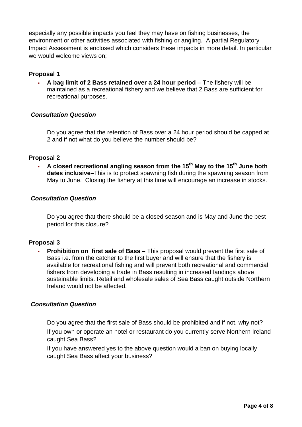especially any possible impacts you feel they may have on fishing businesses, the environment or other activities associated with fishing or angling. A partial Regulatory Impact Assessment is enclosed which considers these impacts in more detail. In particular we would welcome views on;

#### **Proposal 1**

 **A bag limit of 2 Bass retained over a 24 hour period** – The fishery will be maintained as a recreational fishery and we believe that 2 Bass are sufficient for recreational purposes.

#### *Consultation Question*

 Do you agree that the retention of Bass over a 24 hour period should be capped at 2 and if not what do you believe the number should be?

#### **Proposal 2**

A closed recreational angling season from the 15<sup>th</sup> May to the 15<sup>th</sup> June both **dates inclusive–**This is to protect spawning fish during the spawning season from May to June. Closing the fishery at this time will encourage an increase in stocks.

#### *Consultation Question*

Do you agree that there should be a closed season and is May and June the best period for this closure?

#### **Proposal 3**

 **Prohibition on first sale of Bass –** This proposal would prevent the first sale of Bass i.e. from the catcher to the first buyer and will ensure that the fishery is available for recreational fishing and will prevent both recreational and commercial fishers from developing a trade in Bass resulting in increased landings above sustainable limits. Retail and wholesale sales of Sea Bass caught outside Northern Ireland would not be affected.

#### *Consultation Question*

 Do you agree that the first sale of Bass should be prohibited and if not, why not? If you own or operate an hotel or restaurant do you currently serve Northern Ireland caught Sea Bass?

 If you have answered yes to the above question would a ban on buying locally caught Sea Bass affect your business?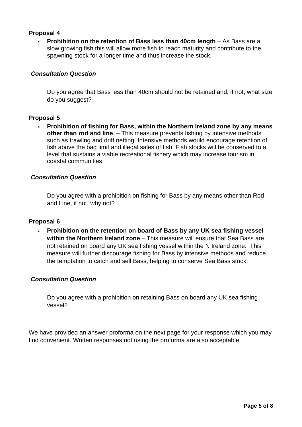## **Proposal 4**

 **Prohibition on the retention of Bass less than 40cm length** – As Bass are a slow growing fish this will allow more fish to reach maturity and contribute to the spawning stock for a longer time and thus increase the stock.

### *Consultation Question*

 Do you agree that Bass less than 40cm should not be retained and, if not, what size do you suggest?

#### **Proposal 5**

 **Prohibition of fishing for Bass, within the Northern Ireland zone by any means other than rod and line**. – This measure prevents fishing by intensive methods such as trawling and drift netting. Intensive methods would encourage retention of fish above the bag limit and illegal sales of fish. Fish stocks will be conserved to a level that sustains a viable recreational fishery which may increase tourism in coastal communities.

#### *Consultation Question*

 Do you agree with a prohibition on fishing for Bass by any means other than Rod and Line, if not, why not?

#### **Proposal 6**

 **Prohibition on the retention on board of Bass by any UK sea fishing vessel within the Northern Ireland zone** – This measure will ensure that Sea Bass are not retained on board any UK sea fishing vessel within the N Ireland zone. This measure will further discourage fishing for Bass by intensive methods and reduce the temptation to catch and sell Bass, helping to conserve Sea Bass stock.

#### *Consultation Question*

Do you agree with a prohibition on retaining Bass on board any UK sea fishing vessel?

We have provided an answer proforma on the next page for your response which you may find convenient. Written responses not using the proforma are also acceptable.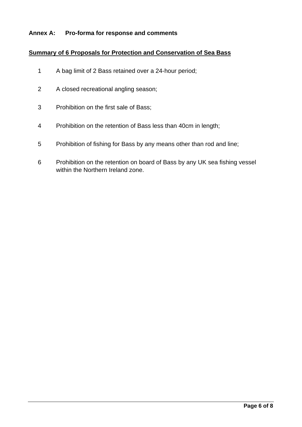### **Annex A: Pro-forma for response and comments**

### **Summary of 6 Proposals for Protection and Conservation of Sea Bass**

- 1 A bag limit of 2 Bass retained over a 24-hour period;
- 2 A closed recreational angling season;
- 3 Prohibition on the first sale of Bass;
- 4 Prohibition on the retention of Bass less than 40cm in length;
- 5 Prohibition of fishing for Bass by any means other than rod and line;
- 6 Prohibition on the retention on board of Bass by any UK sea fishing vessel within the Northern Ireland zone.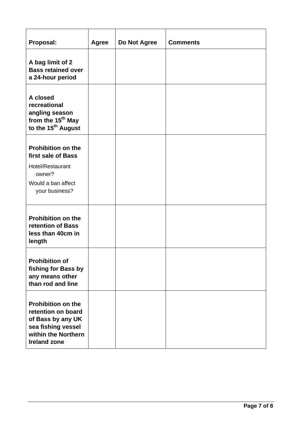| Proposal:                                                                                                                                | <b>Agree</b> | Do Not Agree | <b>Comments</b> |
|------------------------------------------------------------------------------------------------------------------------------------------|--------------|--------------|-----------------|
| A bag limit of 2<br><b>Bass retained over</b><br>a 24-hour period                                                                        |              |              |                 |
| A closed<br>recreational<br>angling season<br>from the 15 <sup>th</sup> May<br>to the 15 <sup>th</sup> August                            |              |              |                 |
| <b>Prohibition on the</b><br>first sale of Bass<br>Hotel/Restaurant<br>owner?<br>Would a ban affect<br>your business?                    |              |              |                 |
| <b>Prohibition on the</b><br>retention of Bass<br>less than 40cm in<br>length                                                            |              |              |                 |
| <b>Prohibition of</b><br>fishing for Bass by<br>any means other<br>than rod and line                                                     |              |              |                 |
| <b>Prohibition on the</b><br>retention on board<br>of Bass by any UK<br>sea fishing vessel<br>within the Northern<br><b>Ireland zone</b> |              |              |                 |